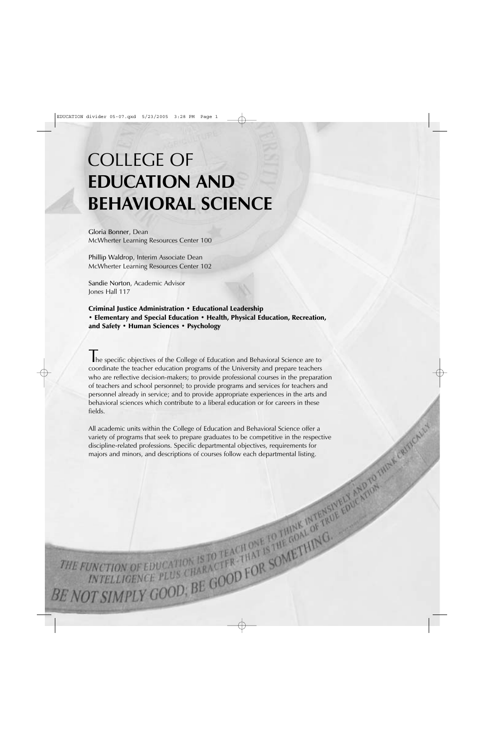# COLLEGE OF **EDUCATION AND BEHAVIORAL SCIENCE**

Gloria Bonner, Dean McWherter Learning Resources Center 100

Phillip Waldrop, Interim Associate Dean McWherter Learning Resources Center 102

Sandie Norton, Academic Advisor Jones Hall 117

Criminal Justice Administration • Educational Leadership • Elementary and Special Education • Health, Physical Education, Recreation, and Safety • Human Sciences • Psychology

The specific objectives of the College of Education and Behavioral Science are to coordinate the teacher education programs of the University and prepare teachers who are reflective decision-makers; to provide professional courses in the preparation of teachers and school personnel; to provide programs and services for teachers and personnel already in service; and to provide appropriate experiences in the arts and behavioral sciences which contribute to a liberal education or for careers in these fields.

All academic units within the College of Education and Behavioral Science offer a variety of programs that seek to prepare graduates to be competitive in the respective discipline-related professions. Specific departmental objectives, requirements for majors and minors, and descriptions of courses follow each departmental listing.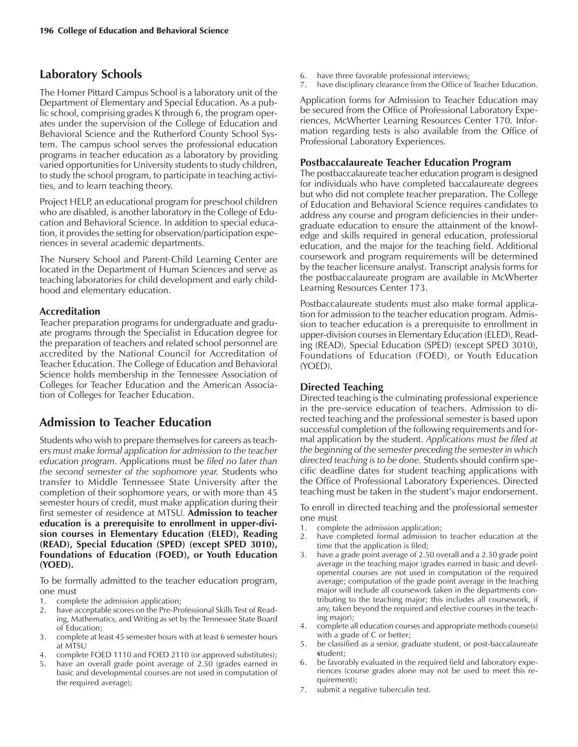# **Laboratory Schools**

The Homer Pittard Campus School is a laboratory unit of the Department of Elementary and Special Education. As a public school, comprising grades K through 6, the program operates under the supervision of the College of Education and Behavioral Science and the Rutherford County School System. The campus school serves the professional education programs in teacher education as a laboratory by providing varied opportunities for University students to study children, to study the school program, to participate in teaching activities, and to learn teaching theory.

Project HELP, an educational program for preschool children who are disabled, is another laboratory in the College of Education and Behavioral Science. In addition to special education, it provides the setting for observation/participation experiences in several academic departments.

The Nursery School and Parent-Child Learning Center are located in the Department of Human Sciences and serve as teaching laboratories for child development and early childhood and elementary education.

# **Accreditation**

Teacher preparation programs for undergraduate and graduate programs through the Specialist in Education degree for the preparation of teachers and related school personnel are accredited by the National Council for Accreditation of Teacher Education. The College of Education and Behavioral Science holds membership in the Tennessee Association of Colleges for Teacher Education and the American Association of Colleges for Teacher Education.

# **Admission to Teacher Education**

Students who wish to prepare themselves for careers as teachers *must make formal application for admission to the teacher education program.* Applications must be *filed no later than the second semester of the sophomore year.* Students who transfer to Middle Tennessee State University after the completion of their sophomore years, or with more than 45 semester hours of credit, must make application during their first semester of residence at MTSU. **Admission to teacher education is a prerequisite to enrollment in upper-division courses in Elementary Education (ELED), Reading (READ), Special Education (SPED) (except SPED 3010), Foundations of Education (FOED), or Youth Education (YOED).**

To be formally admitted to the teacher education program, one must

- 1. complete the admission application;
- 2. have acceptable scores on the Pre-Professional Skills Test of Reading, Mathematics, and Writing as set by the Tennessee State Board of Education;
- 3. complete at least 45 semester hours with at least 6 semester hours at MTSU
- 4. complete FOED 1110 and FOED 2110 (or approved substitutes);
- 5. have an overall grade point average of 2.50 (grades earned in basic and developmental courses are not used in computation of the required average);
- 6. have three favorable professional interviews;
- 7. have disciplinary clearance from the Office of Teacher Education.

Application forms for Admission to Teacher Education may be secured from the Office of Professional Laboratory Experiences, McWherter Learning Resources Center 170. Information regarding tests is also available from the Office of Professional Laboratory Experiences.

### **Postbaccalaureate Teacher Education Program**

The postbaccalaureate teacher education program is designed for individuals who have completed baccalaureate degrees but who did not complete teacher preparation. The College of Education and Behavioral Science requires candidates to address any course and program deficiencies in their undergraduate education to ensure the attainment of the knowledge and skills required in general education, professional education, and the major for the teaching field. Additional coursework and program requirements will be determined by the teacher licensure analyst. Transcript analysis forms for the postbaccalaureate program are available in McWherter Learning Resources Center 173.

Postbaccalaureate students must also make formal application for admission to the teacher education program. Admission to teacher education is a prerequisite to enrollment in upper-division courses in Elementary Education (ELED), Reading (READ), Special Education (SPED) (except SPED 3010), Foundations of Education (FOED), or Youth Education (YOED).

# **Directed Teaching**

Directed teaching is the culminating professional experience in the pre-service education of teachers. Admission to directed teaching and the professional semester is based upon successful completion of the following requirements and formal application by the student. *Applications must be filed at the beginning of the semester preceding the semester in which directed teaching is to be done.* Students should confirm specific deadline dates for student teaching applications with the Office of Professional Laboratory Experiences. Directed teaching must be taken in the student's major endorsement.

To enroll in directed teaching and the professional semester one must

- 1. complete the admission application;
- 2. have completed formal admission to teacher education at the time that the application is filed;
- 3. have a grade point average of 2.50 overall and a 2.50 grade point average in the teaching major (grades earned in basic and developmental courses are not used in computation of the required average; computation of the grade point average in the teaching major will include all coursework taken in the departments contributing to the teaching major; this includes all coursework, if any, taken beyond the required and elective courses in the teaching major);
- 4. complete all education courses and appropriate methods course(s) with a grade of C or better;
- 5. be classified as a senior, graduate student, or post-baccalaureate **s**tudent;
- 6. be favorably evaluated in the required field and laboratory experiences (course grades alone may not be used to meet this requirement);
- 7. submit a negative tuberculin test.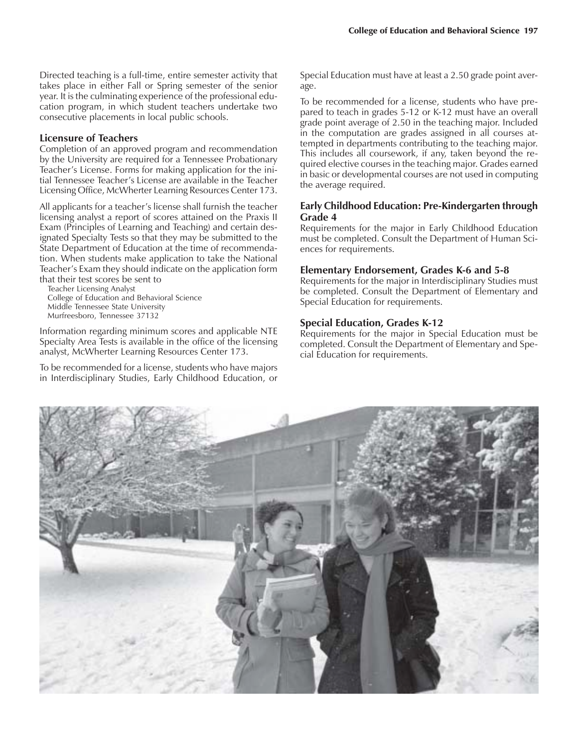Directed teaching is a full-time, entire semester activity that takes place in either Fall or Spring semester of the senior year. It is the culminating experience of the professional education program, in which student teachers undertake two consecutive placements in local public schools.

#### **Licensure of Teachers**

Completion of an approved program and recommendation by the University are required for a Tennessee Probationary Teacher's License. Forms for making application for the initial Tennessee Teacher's License are available in the Teacher Licensing Office, McWherter Learning Resources Center 173.

All applicants for a teacher's license shall furnish the teacher licensing analyst a report of scores attained on the Praxis II Exam (Principles of Learning and Teaching) and certain designated Specialty Tests so that they may be submitted to the State Department of Education at the time of recommendation. When students make application to take the National Teacher's Exam they should indicate on the application form that their test scores be sent to

Teacher Licensing Analyst College of Education and Behavioral Science Middle Tennessee State University Murfreesboro, Tennessee 37132

Information regarding minimum scores and applicable NTE Specialty Area Tests is available in the office of the licensing analyst, McWherter Learning Resources Center 173.

To be recommended for a license, students who have majors in Interdisciplinary Studies, Early Childhood Education, or Special Education must have at least a 2.50 grade point average.

To be recommended for a license, students who have prepared to teach in grades 5-12 or K-12 must have an overall grade point average of 2.50 in the teaching major. Included in the computation are grades assigned in all courses attempted in departments contributing to the teaching major. This includes all coursework, if any, taken beyond the required elective courses in the teaching major. Grades earned in basic or developmental courses are not used in computing the average required.

#### **Early Childhood Education: Pre-Kindergarten through Grade 4**

Requirements for the major in Early Childhood Education must be completed. Consult the Department of Human Sciences for requirements.

#### **Elementary Endorsement, Grades K-6 and 5-8**

Requirements for the major in Interdisciplinary Studies must be completed. Consult the Department of Elementary and Special Education for requirements.

#### **Special Education, Grades K-12**

Requirements for the major in Special Education must be completed. Consult the Department of Elementary and Special Education for requirements.